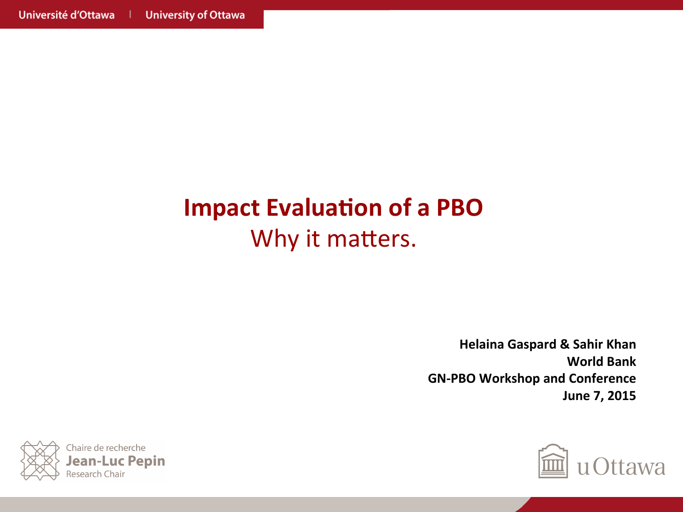## **Impact Evaluation of a PBO** Why it matters.

**Helaina Gaspard & Sahir Khan World Bank GN-PBO Workshop and Conference June 7, 2015** 



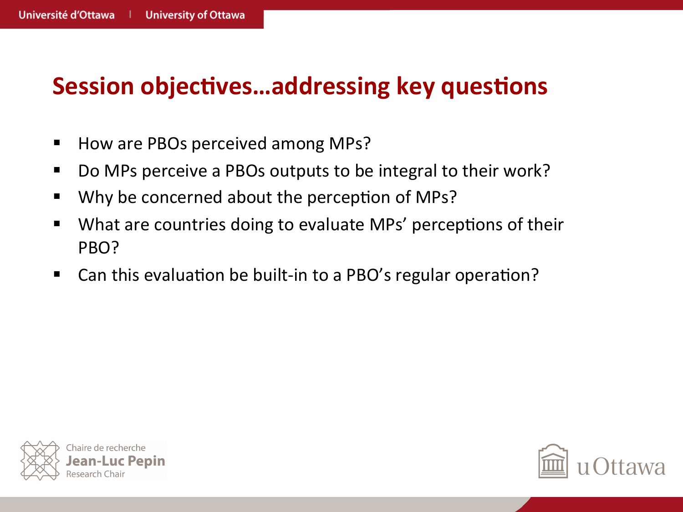#### **Session objectives...addressing key questions**

- How are PBOs perceived among MPs?
- Do MPs perceive a PBOs outputs to be integral to their work?
- Why be concerned about the perception of MPs?
- What are countries doing to evaluate MPs' perceptions of their PBO?
- Can this evaluation be built-in to a PBO's regular operation?



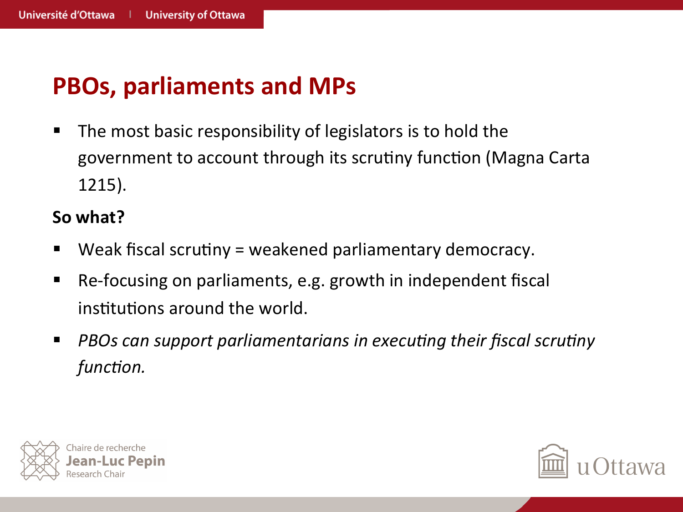### **PBOs, parliaments and MPs**

■ The most basic responsibility of legislators is to hold the government to account through its scrutiny function (Magna Carta 1215). 

#### So what?

- Weak fiscal scrutiny  $=$  weakened parliamentary democracy.
- Re-focusing on parliaments, e.g. growth in independent fiscal institutions around the world.
- PBOs can support parliamentarians in executing their fiscal scrutiny function.



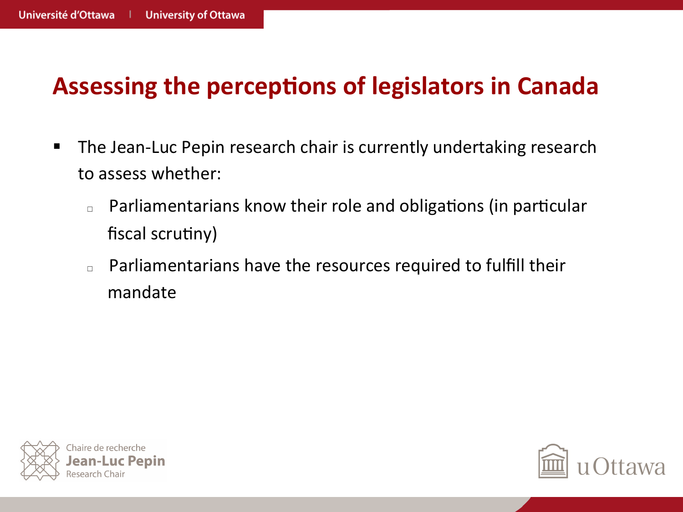### Assessing the perceptions of legislators in Canada

- $\blacksquare$  The Jean-Luc Pepin research chair is currently undertaking research to assess whether:
	- □ Parliamentarians know their role and obligations (in particular fiscal scrutiny)
	- □ Parliamentarians have the resources required to fulfill their mandate



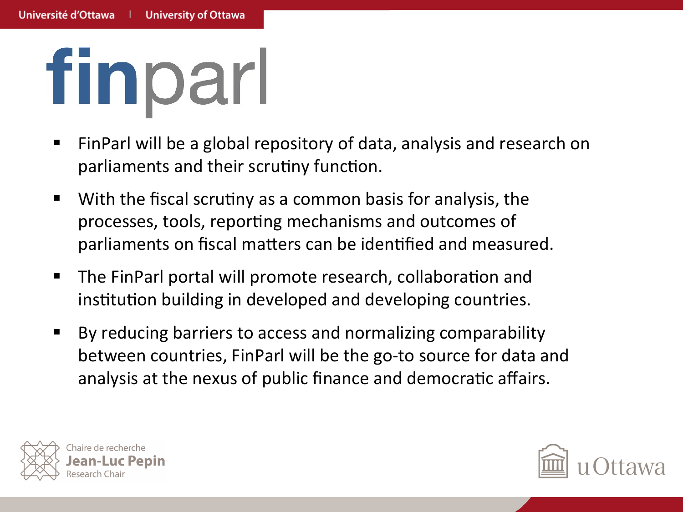# finparl

- FinParl will be a global repository of data, analysis and research on parliaments and their scrutiny function.
- $\blacksquare$  With the fiscal scrutiny as a common basis for analysis, the processes, tools, reporting mechanisms and outcomes of parliaments on fiscal matters can be identified and measured.
- $\blacksquare$  The FinParl portal will promote research, collaboration and institution building in developed and developing countries.
- By reducing barriers to access and normalizing comparability between countries, FinParl will be the go-to source for data and analysis at the nexus of public finance and democratic affairs.



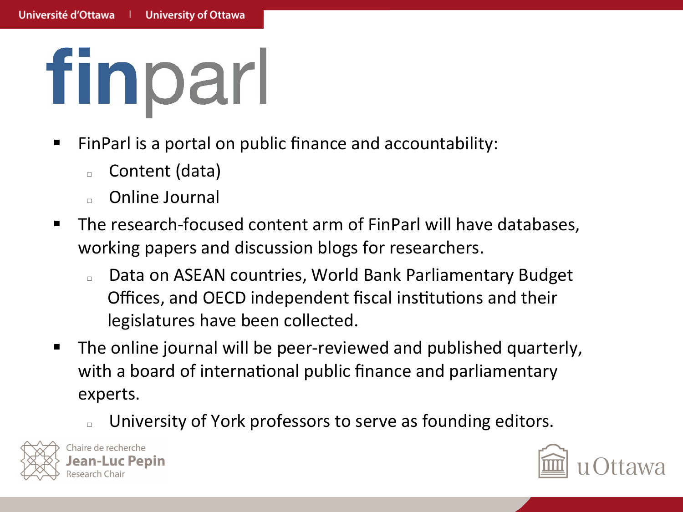# finparl

- FinParl is a portal on public finance and accountability:
	- □ Content (data)
	- □ Online Journal
- The research-focused content arm of FinParl will have databases, working papers and discussion blogs for researchers.
	- □ Data on ASEAN countries, World Bank Parliamentary Budget Offices, and OECD independent fiscal institutions and their legislatures have been collected.
- The online journal will be peer-reviewed and published quarterly, with a board of international public finance and parliamentary experts.
	- □ University of York professors to serve as founding editors.



haire de recherche ean-Luc Pepin esearch Chair

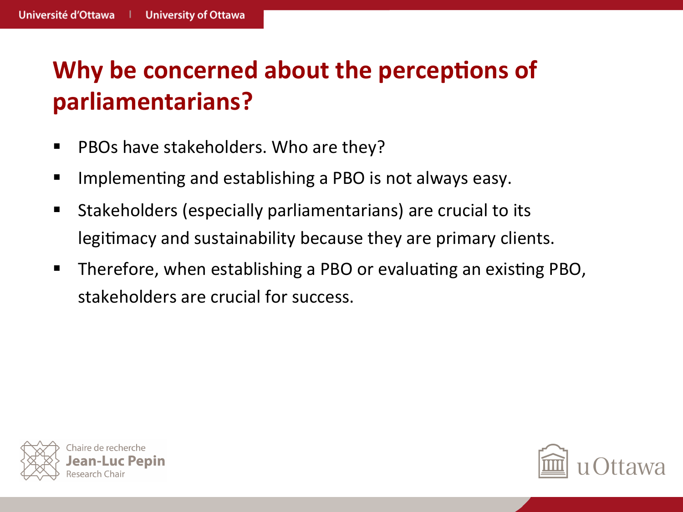## **Why be concerned about the perceptions of parliamentarians?**

- PBOs have stakeholders. Who are they?
- **E** Implementing and establishing a PBO is not always easy.
- Stakeholders (especially parliamentarians) are crucial to its legitimacy and sustainability because they are primary clients.
- Therefore, when establishing a PBO or evaluating an existing PBO, stakeholders are crucial for success.



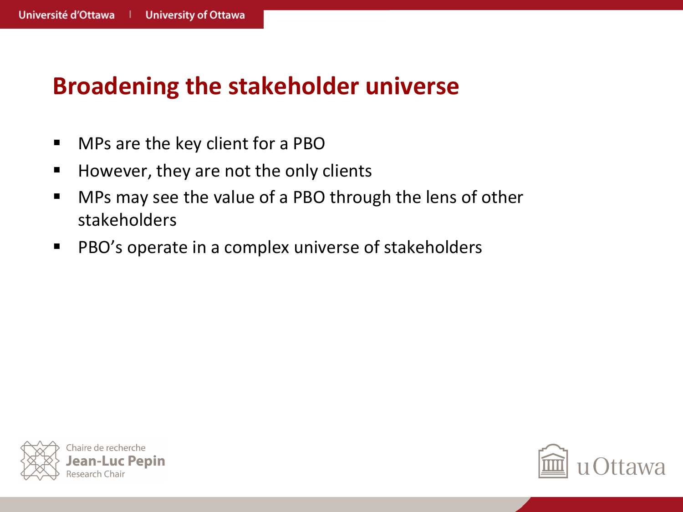#### **Broadening the stakeholder universe**

- MPs are the key client for a PBO
- However, they are not the only clients
- MPs may see the value of a PBO through the lens of other stakeholders
- PBO's operate in a complex universe of stakeholders



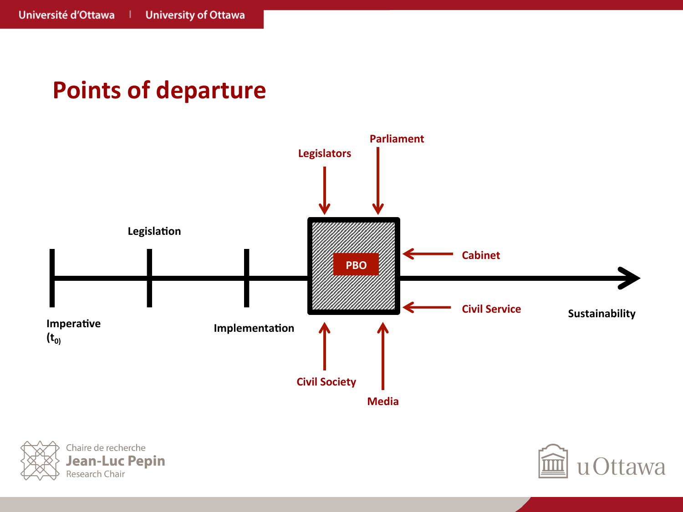#### **Points of departure**





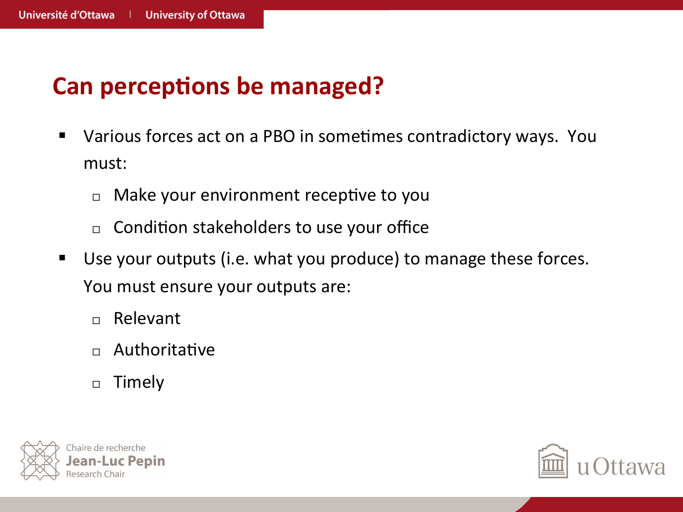#### **Can perceptions be managed?**

- Various forces act on a PBO in sometimes contradictory ways. You must:
	- $\Box$  Make your environment receptive to you
	- $\Box$  Condition stakeholders to use your office
- Use your outputs (i.e. what you produce) to manage these forces. You must ensure your outputs are:
	- $\Box$  Relevant
	- $\Box$  Authoritative
	- □ Timely



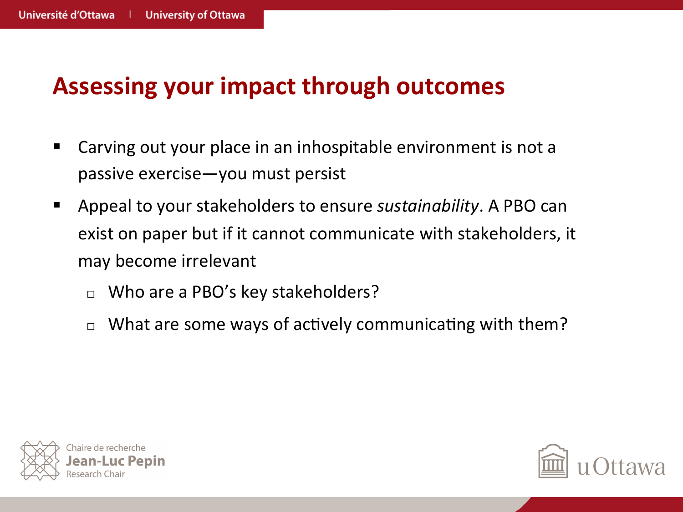#### **Assessing your impact through outcomes**

- Carving out your place in an inhospitable environment is not a passive exercise—you must persist
- Appeal to your stakeholders to ensure *sustainability*. A PBO can exist on paper but if it cannot communicate with stakeholders, it may become irrelevant
	- □ Who are a PBO's key stakeholders?
	- $\Box$  What are some ways of actively communicating with them?



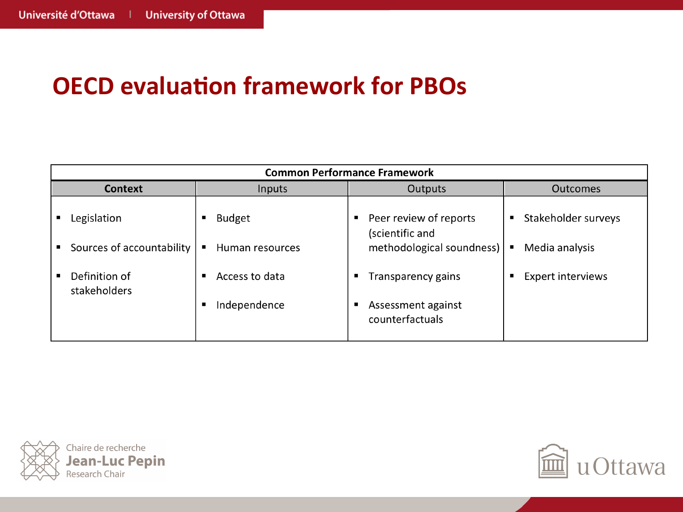#### **OECD** evaluation framework for PBOs

| <b>Common Performance Framework</b> |                                          |                                                    |                                                                                                                                        |  |
|-------------------------------------|------------------------------------------|----------------------------------------------------|----------------------------------------------------------------------------------------------------------------------------------------|--|
|                                     | <b>Context</b>                           | Inputs                                             | Outputs<br><b>Outcomes</b>                                                                                                             |  |
|                                     | Legislation<br>Sources of accountability | <b>Budget</b><br>Human resources<br>$\blacksquare$ | Stakeholder surveys<br>Peer review of reports<br>П<br>(scientific and<br>methodological soundness)<br>Media analysis<br>$\blacksquare$ |  |
|                                     | Definition of<br>stakeholders            | Access to data<br>٠<br>Independence                | <b>Expert interviews</b><br>Transparency gains<br>п<br>Assessment against<br>counterfactuals                                           |  |



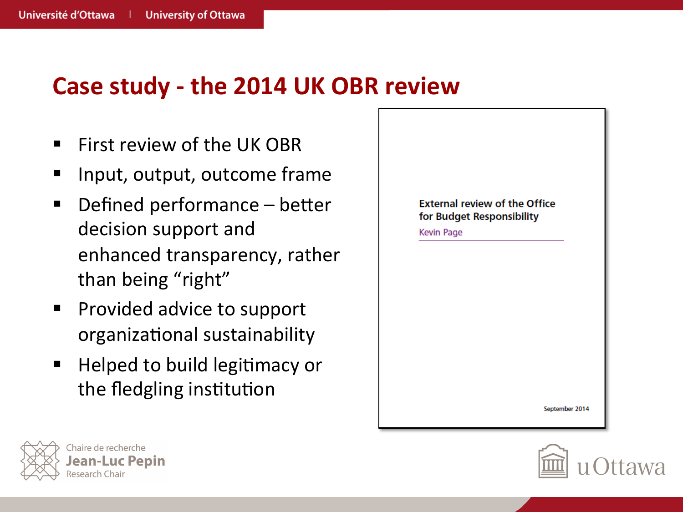#### **Case study - the 2014 UK OBR review**

- First review of the UK OBR
- Input, output, outcome frame
- **•** Defined performance  $-$  better decision support and enhanced transparency, rather than being "right"
- **Provided advice to support** organizational sustainability
- Helped to build legitimacy or the fledgling institution





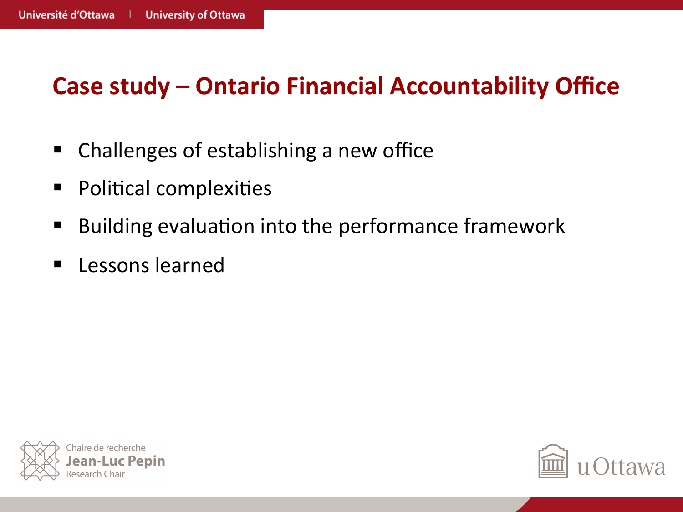### **Case study – Ontario Financial Accountability Office**

- Challenges of establishing a new office
- $\blacksquare$  Political complexities
- Building evaluation into the performance framework
- Lessons learned



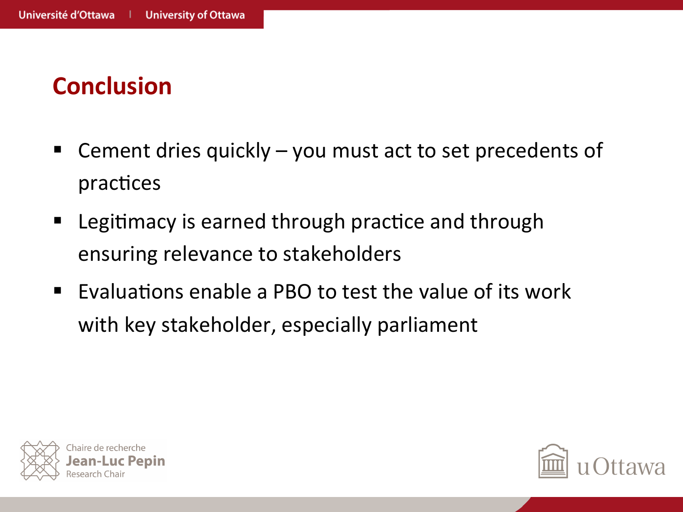### **Conclusion**

- E Cement dries quickly  $-$  you must act to set precedents of practices
- **E** Legitimacy is earned through practice and through ensuring relevance to stakeholders
- Evaluations enable a PBO to test the value of its work with key stakeholder, especially parliament